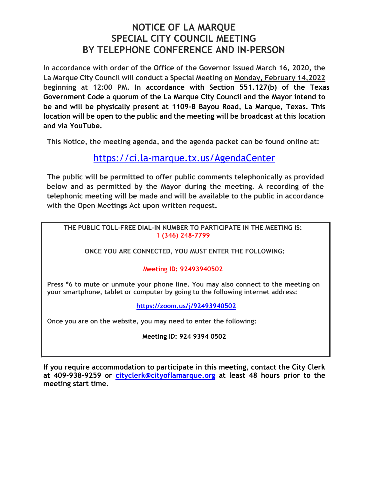# **NOTICE OF LA MARQUE SPECIAL CITY COUNCIL MEETING BY TELEPHONE CONFERENCE AND IN-PERSON**

**In accordance with order of the Office of the Governor issued March 16, 2020, the La Marque City Council will conduct a Special Meeting on Monday, February 14,2022 beginning at 12:00 PM. In accordance with Section 551.127(b) of the Texas Government Code a quorum of the La Marque City Council and the Mayor intend to be and will be physically present at 1109-B Bayou Road, La Marque, Texas. This location will be open to the public and the meeting will be broadcast at this location and via YouTube.** 

**This Notice, the meeting agenda, and the agenda packet can be found online at:**

https://ci.la-marque.tx.us/AgendaCenter

**The public will be permitted to offer public comments telephonically as provided below and as permitted by the Mayor during the meeting. A recording of the telephonic meeting will be made and will be available to the public in accordance with the Open Meetings Act upon written request.**

**THE PUBLIC TOLL-FREE DIAL-IN NUMBER TO PARTICIPATE IN THE MEETING IS: 1 (346) 248-7799** 

**ONCE YOU ARE CONNECTED, YOU MUST ENTER THE FOLLOWING:** 

# **Meeting ID: 92493940502**

**Press \*6 to mute or unmute your phone line. You may also connect to the meeting on your smartphone, tablet or computer by going to the following internet address:**

**https://zoom.us/j/92493940502**

**Once you are on the website, you may need to enter the following:** 

**Meeting ID: 924 9394 0502** 

**If you require accommodation to participate in this meeting, contact the City Clerk at 409-938-9259 or cityclerk@cityoflamarque.org at least 48 hours prior to the meeting start time.**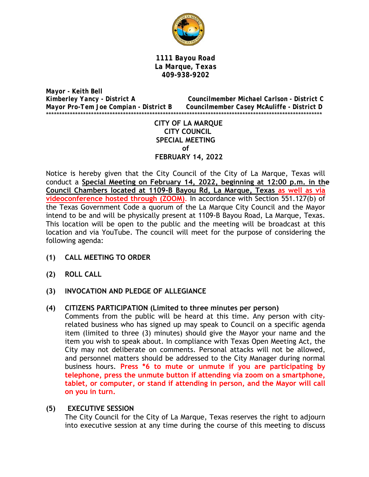

*1111 Bayou Road La Marque, Texas 409-938-9202* 

*Mayor - Keith Bell Kimberley Yancy - District A Councilmember Michael Carlson - District C Mayor Pro-Tem Joe Compian - District B Councilmember Casey McAuliffe - District D*  \*\*\*\*\*\*\*\*\*\*\*\*\*\*\*\*\*\*\*\*\*\*\*\*\*\*\*\*\*\*\*\*\*\*\*\*\*\*\*\*\*\*\*\*\*\*\*\*\*\*\*\*\*\*\*\*\*\*\*\*\*\*\*\*\*\*\*\*\*\*\*\*\*\*\*\*\*\*\*\*\*\*\*\*\*\*\*\*\*\*\*\*\*\*\*\*\*\*\*\*\*\*\*\*

> **CITY OF LA MARQUE CITY COUNCIL SPECIAL MEETING of FEBRUARY 14, 2022**

Notice is hereby given that the City Council of the City of La Marque, Texas will conduct a **Special Meeting on February 14, 2022, beginning at 12:00 p.m. in the Council Chambers located at 1109-B Bayou Rd, La Marque, Texas as well as via videoconference hosted through (ZOOM)**. In accordance with Section 551.127(b) of the Texas Government Code a quorum of the La Marque City Council and the Mayor intend to be and will be physically present at 1109-B Bayou Road, La Marque, Texas. This location will be open to the public and the meeting will be broadcast at this location and via YouTube. The council will meet for the purpose of considering the following agenda:

- **(1) CALL MEETING TO ORDER**
- **(2) ROLL CALL**
- **(3) INVOCATION AND PLEDGE OF ALLEGIANCE**
- **(4) CITIZENS PARTICIPATION (Limited to three minutes per person)**

Comments from the public will be heard at this time. Any person with cityrelated business who has signed up may speak to Council on a specific agenda item (limited to three (3) minutes) should give the Mayor your name and the item you wish to speak about. In compliance with Texas Open Meeting Act, the City may not deliberate on comments. Personal attacks will not be allowed, and personnel matters should be addressed to the City Manager during normal business hours. **Press \*6 to mute or unmute if you are participating by telephone, press the unmute button if attending via zoom on a smartphone, tablet, or computer, or stand if attending in person, and the Mayor will call on you in turn.** 

#### **(5) EXECUTIVE SESSION**

The City Council for the City of La Marque, Texas reserves the right to adjourn into executive session at any time during the course of this meeting to discuss